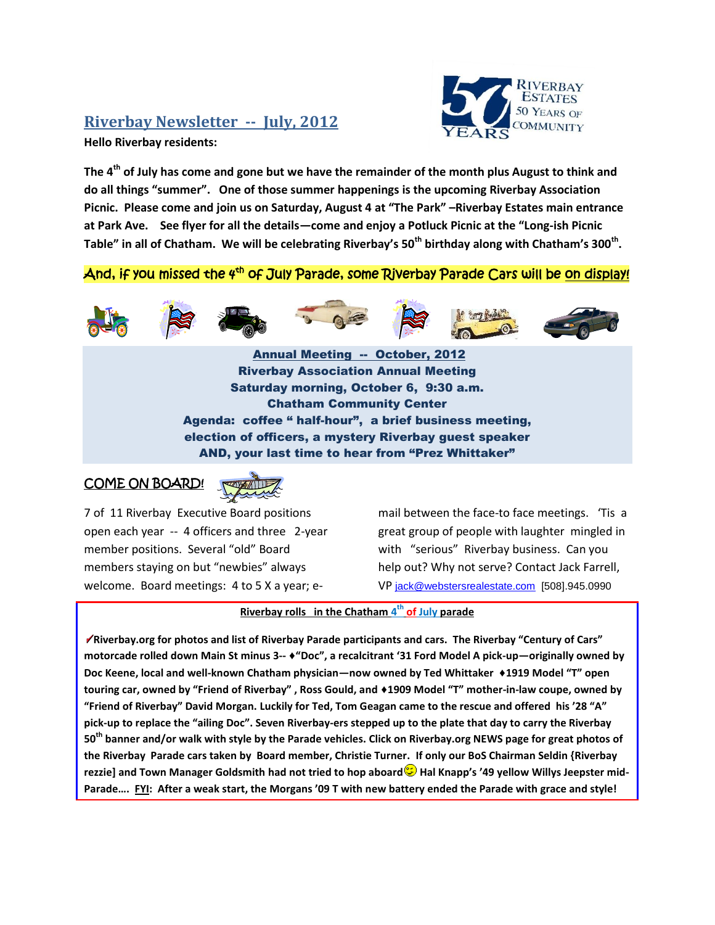## **Riverbay Newsletter -- July, 2012**

**Hello Riverbay residents:**



**The 4th of July has come and gone but we have the remainder of the month plus August to think and do all things "summer". One of those summer happenings is the upcoming Riverbay Association Picnic. Please come and join us on Saturday, August 4 at "The Park" –Riverbay Estates main entrance at Park Ave. See flyer for all the details—come and enjoy a Potluck Picnic at the "Long-ish Picnic Table" in all of Chatham. We will be celebrating Riverbay's 50th birthday along with Chatham's 300th .** 

## And, if you missed the 4<sup>th</sup> of July Parade, some Riverbay Parade Cars will be <u>on display!</u>



Annual Meeting -- October, 2012 Riverbay Association Annual Meeting Saturday morning, October 6, 9:30 a.m. Chatham Community Center Agenda: coffee " half-hour", a brief business meeting, election of officers, a mystery Riverbay guest speaker AND, your last time to hear from "Prez Whittaker"

## COME ON BOARD!



7 of 11 Riverbay Executive Board positions open each year -- 4 officers and three 2-year member positions. Several "old" Board members staying on but "newbies" always welcome. Board meetings: 4 to 5 X a year; email between the face-to face meetings. 'Tis a great group of people with laughter mingled in with "serious" Riverbay business. Can you help out? Why not serve? Contact Jack Farrell, VP [jack@webstersrealestate.com](javascript:void) [508].945.0990

## **Riverbay rolls in the Chatham 4 th of July parade**

**Riverbay.org for photos and list of Riverbay Parade participants and cars. The Riverbay "Century of Cars" motorcade rolled down Main St minus 3-- ♦"Doc", a recalcitrant '31 Ford Model A pick-up—originally owned by Doc Keene, local and well-known Chatham physician—now owned by Ted Whittaker ♦1919 Model "T" open touring car, owned by "Friend of Riverbay" , Ross Gould, and ♦1909 Model "T" mother-in-law coupe, owned by "Friend of Riverbay" David Morgan. Luckily for Ted, Tom Geagan came to the rescue and offered his '28 "A" pick-up to replace the "ailing Doc". Seven Riverbay-ers stepped up to the plate that day to carry the Riverbay 50th banner and/or walk with style by the Parade vehicles. Click on Riverbay.org NEWS page for great photos of the Riverbay Parade cars taken by Board member, Christie Turner. If only our BoS Chairman Seldin {Riverbay rezzie] and Town Manager Goldsmith had not tried to hop aboard <b>b** Hal Knapp's '49 yellow Willys Jeepster mid-**Parade…. FYI: After a weak start, the Morgans '09 T with new battery ended the Parade with grace and style!**